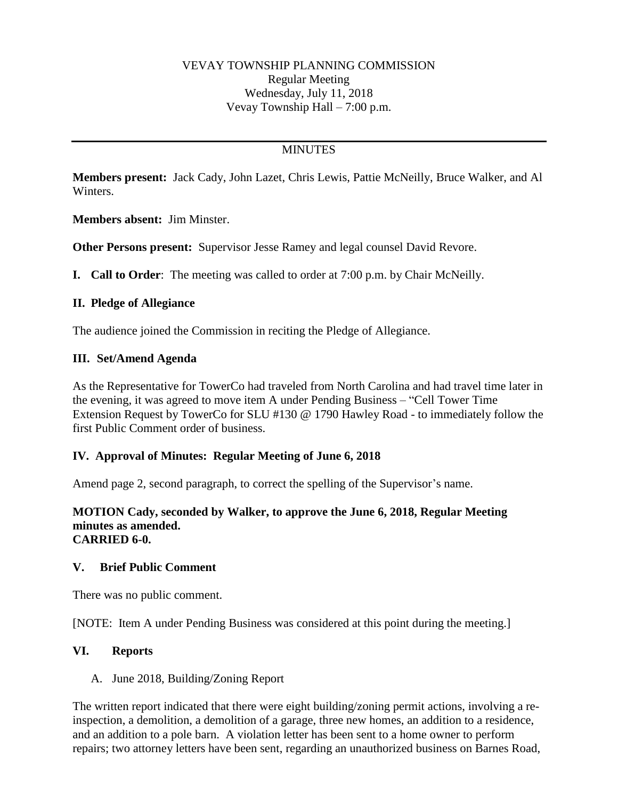# **MINUTES**

**Members present:** Jack Cady, John Lazet, Chris Lewis, Pattie McNeilly, Bruce Walker, and Al Winters.

**Members absent:** Jim Minster.

**Other Persons present:** Supervisor Jesse Ramey and legal counsel David Revore.

**I. Call to Order**: The meeting was called to order at 7:00 p.m. by Chair McNeilly.

### **II. Pledge of Allegiance**

The audience joined the Commission in reciting the Pledge of Allegiance.

### **III. Set/Amend Agenda**

As the Representative for TowerCo had traveled from North Carolina and had travel time later in the evening, it was agreed to move item A under Pending Business – "Cell Tower Time Extension Request by TowerCo for SLU #130 @ 1790 Hawley Road - to immediately follow the first Public Comment order of business.

## **IV. Approval of Minutes: Regular Meeting of June 6, 2018**

Amend page 2, second paragraph, to correct the spelling of the Supervisor's name.

#### **MOTION Cady, seconded by Walker, to approve the June 6, 2018, Regular Meeting minutes as amended. CARRIED 6-0.**

#### **V. Brief Public Comment**

There was no public comment.

[NOTE: Item A under Pending Business was considered at this point during the meeting.]

#### **VI. Reports**

A. June 2018, Building/Zoning Report

The written report indicated that there were eight building/zoning permit actions, involving a reinspection, a demolition, a demolition of a garage, three new homes, an addition to a residence, and an addition to a pole barn. A violation letter has been sent to a home owner to perform repairs; two attorney letters have been sent, regarding an unauthorized business on Barnes Road,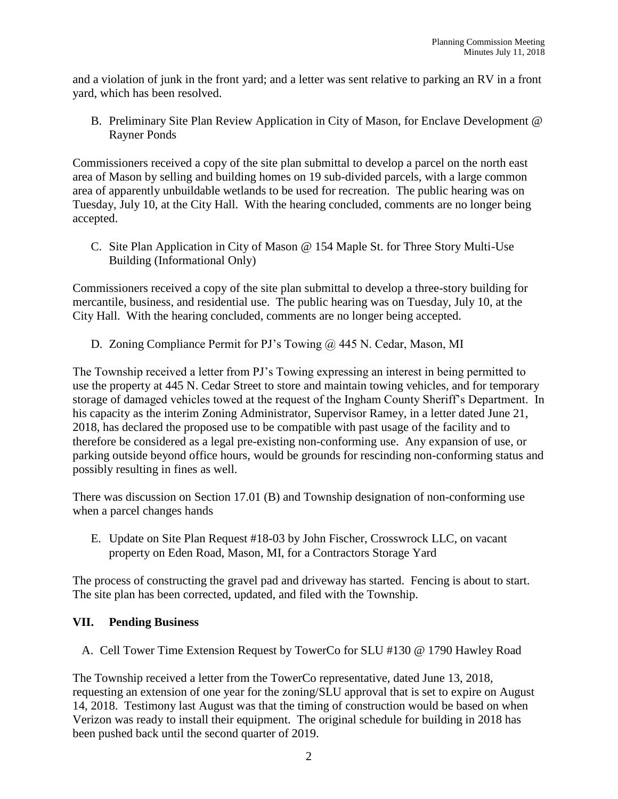and a violation of junk in the front yard; and a letter was sent relative to parking an RV in a front yard, which has been resolved.

B. Preliminary Site Plan Review Application in City of Mason, for Enclave Development @ Rayner Ponds

Commissioners received a copy of the site plan submittal to develop a parcel on the north east area of Mason by selling and building homes on 19 sub-divided parcels, with a large common area of apparently unbuildable wetlands to be used for recreation. The public hearing was on Tuesday, July 10, at the City Hall. With the hearing concluded, comments are no longer being accepted.

C. Site Plan Application in City of Mason @ 154 Maple St. for Three Story Multi-Use Building (Informational Only)

Commissioners received a copy of the site plan submittal to develop a three-story building for mercantile, business, and residential use. The public hearing was on Tuesday, July 10, at the City Hall. With the hearing concluded, comments are no longer being accepted.

D. Zoning Compliance Permit for PJ's Towing @ 445 N. Cedar, Mason, MI

The Township received a letter from PJ's Towing expressing an interest in being permitted to use the property at 445 N. Cedar Street to store and maintain towing vehicles, and for temporary storage of damaged vehicles towed at the request of the Ingham County Sheriff's Department. In his capacity as the interim Zoning Administrator, Supervisor Ramey, in a letter dated June 21, 2018, has declared the proposed use to be compatible with past usage of the facility and to therefore be considered as a legal pre-existing non-conforming use. Any expansion of use, or parking outside beyond office hours, would be grounds for rescinding non-conforming status and possibly resulting in fines as well.

There was discussion on Section 17.01 (B) and Township designation of non-conforming use when a parcel changes hands

E. Update on Site Plan Request #18-03 by John Fischer, Crosswrock LLC, on vacant property on Eden Road, Mason, MI, for a Contractors Storage Yard

The process of constructing the gravel pad and driveway has started. Fencing is about to start. The site plan has been corrected, updated, and filed with the Township.

## **VII. Pending Business**

A. Cell Tower Time Extension Request by TowerCo for SLU #130 @ 1790 Hawley Road

The Township received a letter from the TowerCo representative, dated June 13, 2018, requesting an extension of one year for the zoning/SLU approval that is set to expire on August 14, 2018. Testimony last August was that the timing of construction would be based on when Verizon was ready to install their equipment. The original schedule for building in 2018 has been pushed back until the second quarter of 2019.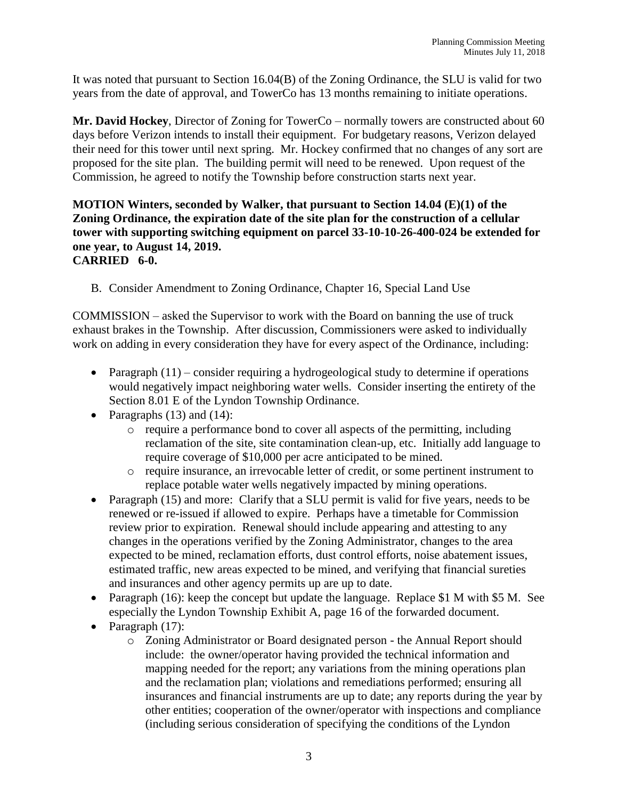It was noted that pursuant to Section 16.04(B) of the Zoning Ordinance, the SLU is valid for two years from the date of approval, and TowerCo has 13 months remaining to initiate operations.

**Mr. David Hockey**, Director of Zoning for TowerCo – normally towers are constructed about 60 days before Verizon intends to install their equipment. For budgetary reasons, Verizon delayed their need for this tower until next spring. Mr. Hockey confirmed that no changes of any sort are proposed for the site plan. The building permit will need to be renewed. Upon request of the Commission, he agreed to notify the Township before construction starts next year.

#### **MOTION Winters, seconded by Walker, that pursuant to Section 14.04 (E)(1) of the Zoning Ordinance, the expiration date of the site plan for the construction of a cellular tower with supporting switching equipment on parcel 33-10-10-26-400-024 be extended for one year, to August 14, 2019. CARRIED 6-0.**

B. Consider Amendment to Zoning Ordinance, Chapter 16, Special Land Use

COMMISSION – asked the Supervisor to work with the Board on banning the use of truck exhaust brakes in the Township. After discussion, Commissioners were asked to individually work on adding in every consideration they have for every aspect of the Ordinance, including:

- Paragraph  $(11)$  consider requiring a hydrogeological study to determine if operations would negatively impact neighboring water wells. Consider inserting the entirety of the Section 8.01 E of the Lyndon Township Ordinance.
- Paragraphs  $(13)$  and  $(14)$ :
	- $\circ$  require a performance bond to cover all aspects of the permitting, including reclamation of the site, site contamination clean-up, etc. Initially add language to require coverage of \$10,000 per acre anticipated to be mined.
	- o require insurance, an irrevocable letter of credit, or some pertinent instrument to replace potable water wells negatively impacted by mining operations.
- Paragraph (15) and more: Clarify that a SLU permit is valid for five years, needs to be renewed or re-issued if allowed to expire. Perhaps have a timetable for Commission review prior to expiration. Renewal should include appearing and attesting to any changes in the operations verified by the Zoning Administrator, changes to the area expected to be mined, reclamation efforts, dust control efforts, noise abatement issues, estimated traffic, new areas expected to be mined, and verifying that financial sureties and insurances and other agency permits up are up to date.
- Paragraph (16): keep the concept but update the language. Replace \$1 M with \$5 M. See especially the Lyndon Township Exhibit A, page 16 of the forwarded document.
- Paragraph (17):
	- o Zoning Administrator or Board designated person the Annual Report should include: the owner/operator having provided the technical information and mapping needed for the report; any variations from the mining operations plan and the reclamation plan; violations and remediations performed; ensuring all insurances and financial instruments are up to date; any reports during the year by other entities; cooperation of the owner/operator with inspections and compliance (including serious consideration of specifying the conditions of the Lyndon